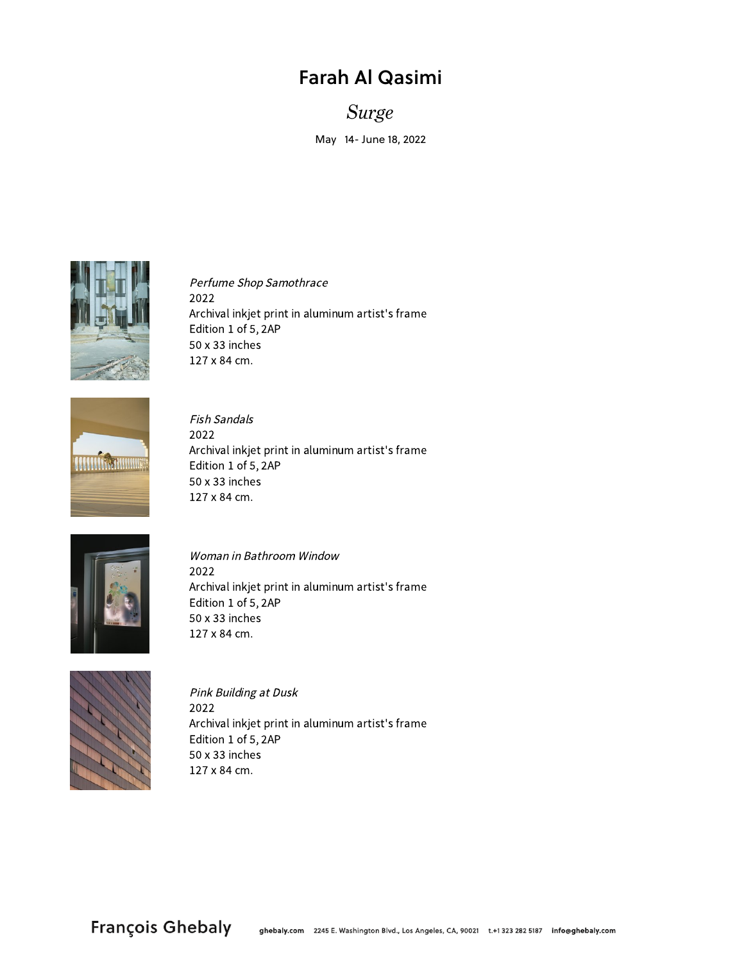## Farah Al Qasimi

*Surge*

May 14- June 18, 2022



Perfume Shop Samothrace 2022 Archival inkjet print in aluminum artist's frame Edition 1 of 5, 2AP  $50 \times 33$  inches 127 x 84 cm.



Fish Sandals 2022 Archival inkjet print in aluminum artist's frame Edition 1 of 5, 2AP  $50 \times 33$  inches  $127 \times 84$  cm.



Woman in Bathroom Window 2022 Archival inkjet print in aluminum artist's frame Edition 1 of 5, 2AP  $50 \times 33$  inches 127 x 84 cm.



Pink Building at Dusk 2022 Archival inkjet print in aluminum artist's frame Edition 1 of 5, 2AP  $50 \times 33$  inches  $127 \times 84$  cm.

François Ghebaly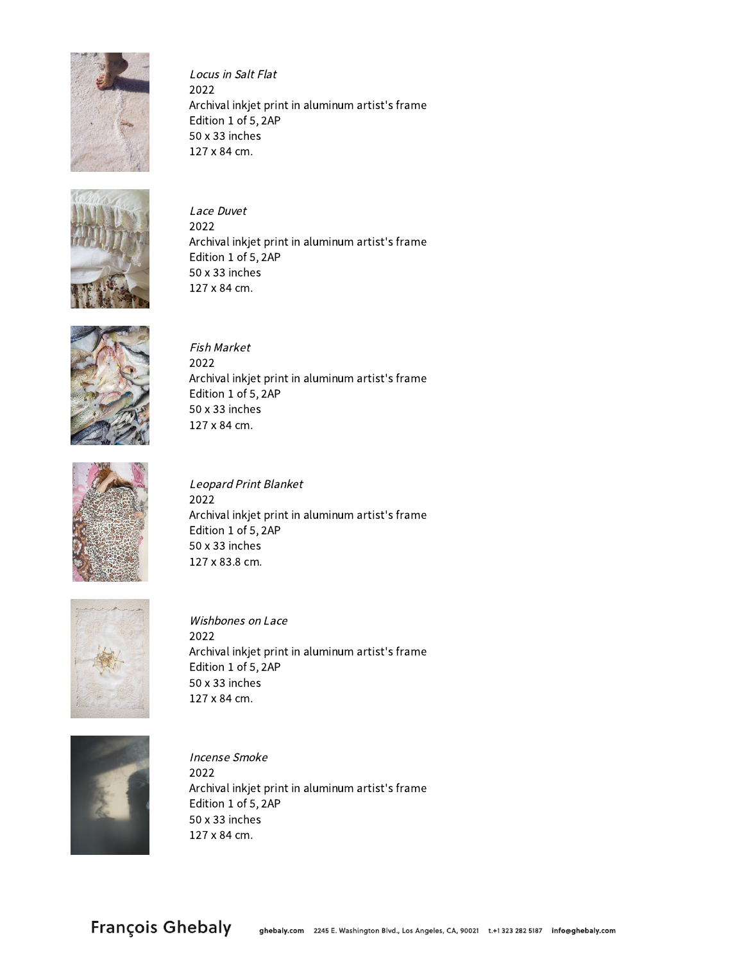

Locus in Salt Flat 2022 Archival inkjet print in aluminum artist's frame Edition 1 of 5, 2AP  $50 \times 33$  inches 127 x 84 cm.



Lace Duvet 2022 Archival inkjet print in aluminum artist's frame Edition 1 of 5, 2AP 50 x 33 inches 127 x 84 cm.



Fish Market 2022 Archival inkjet print in aluminum artist's frame Edition 1 of 5, 2AP 50 x 33 inches 127 x 84 cm.



Leopard Print Blanket 2022 Archival inkjet print in aluminum artist's frame Edition 1 of 5, 2AP  $50 \times 33$  inches 127 x 83.8 cm.



Wishbones on Lace 2022 Archival inkjet print in aluminum artist's frame Edition 1 of 5, 2AP 50 x 33 inches 127 x 84 cm.



Incense Smoke 2022 Archival inkjet print in aluminum artist's frame Edition 1 of 5, 2AP  $50 \times 33$  inches 127 x 84 cm.

**François Ghebaly**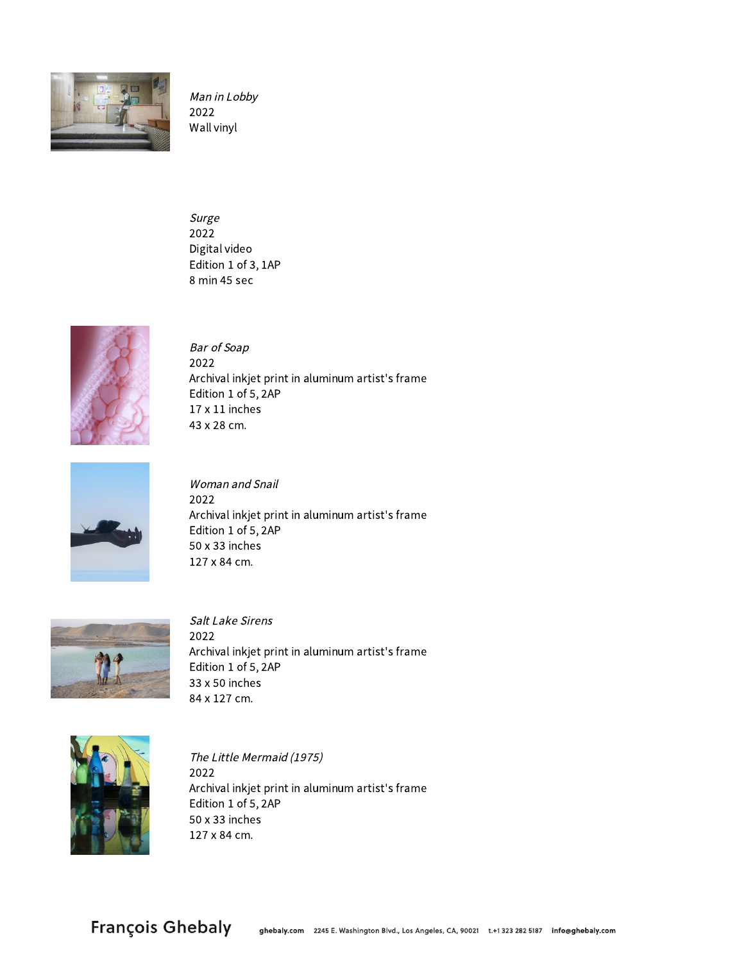

Man in Lobby 2022 Wall vinyl

Surge 2022 Digital video Edition 1 of 3, 1AP 8 min 45 sec



Bar of Soap 2022 Archival inkjet print in aluminum artist's frame Edition 1 of 5, 2AP  $17 \times 11$  inches 43 x 28 cm.



Woman and Snail 2022 Archival inkjet print in aluminum artist's frame Edition 1 of 5, 2AP 50 x 33 inches 127 x 84 cm.



Salt Lake Sirens 2022 Archival inkjet print in aluminum artist's frame Edition 1 of 5, 2AP  $33 \times 50$  inches 84 x 127 cm.



The Little Mermaid (1975) 2022 Archival inkjet print in aluminum artist's frame Edition 1 of 5, 2AP  $50 \times 33$  inches 127 x 84 cm.